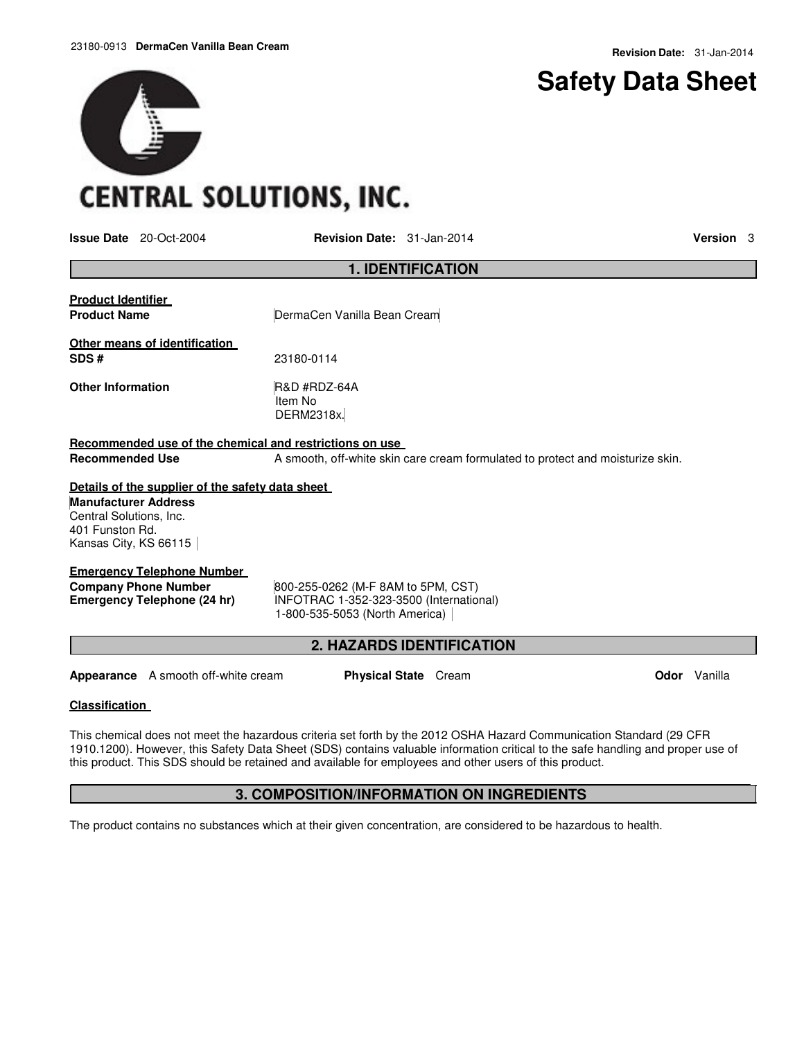## **Safety Data Sheet**

# **CENTRAL SOLUTIONS, INC.**

**Issue Date** 20-Oct-2004 **Revision Date:** 31-Jan-2014 **Version** 3

| <b>Product Identifier</b><br><b>Product Name</b>                                                   | DermaCen Vanilla Bean Cream<br>23180-0114<br><b>R&amp;D #RDZ-64A</b><br>Item No<br>DERM2318x.                   |  |  |  |  |
|----------------------------------------------------------------------------------------------------|-----------------------------------------------------------------------------------------------------------------|--|--|--|--|
| Other means of identification<br>SDS#<br><b>Other Information</b>                                  |                                                                                                                 |  |  |  |  |
|                                                                                                    |                                                                                                                 |  |  |  |  |
|                                                                                                    |                                                                                                                 |  |  |  |  |
| Recommended use of the chemical and restrictions on use                                            |                                                                                                                 |  |  |  |  |
| <b>Recommended Use</b>                                                                             | A smooth, off-white skin care cream formulated to protect and moisturize skin.                                  |  |  |  |  |
| Details of the supplier of the safety data sheet                                                   |                                                                                                                 |  |  |  |  |
| <b>Manufacturer Address</b><br>Central Solutions, Inc.<br>401 Funston Rd.<br>Kansas City, KS 66115 |                                                                                                                 |  |  |  |  |
| <b>Emergency Telephone Number</b>                                                                  |                                                                                                                 |  |  |  |  |
| <b>Company Phone Number</b><br><b>Emergency Telephone (24 hr)</b>                                  | 800-255-0262 (M-F 8AM to 5PM, CST)<br>INFOTRAC 1-352-323-3500 (International)<br>1-800-535-5053 (North America) |  |  |  |  |
|                                                                                                    | <b>2. HAZARDS IDENTIFICATION</b>                                                                                |  |  |  |  |
| Appearance A smooth off-white cream                                                                | Odor Vanilla<br><b>Physical State</b> Cream                                                                     |  |  |  |  |

**Classification** 

This chemical does not meet the hazardous criteria set forth by the 2012 OSHA Hazard Communication Standard (29 CFR 1910.1200). However, this Safety Data Sheet (SDS) contains valuable information critical to the safe handling and proper use of this product. This SDS should be retained and available for employees and other users of this product.

### **3. COMPOSITION/INFORMATION ON INGREDIENTS**

The product contains no substances which at their given concentration, are considered to be hazardous to health.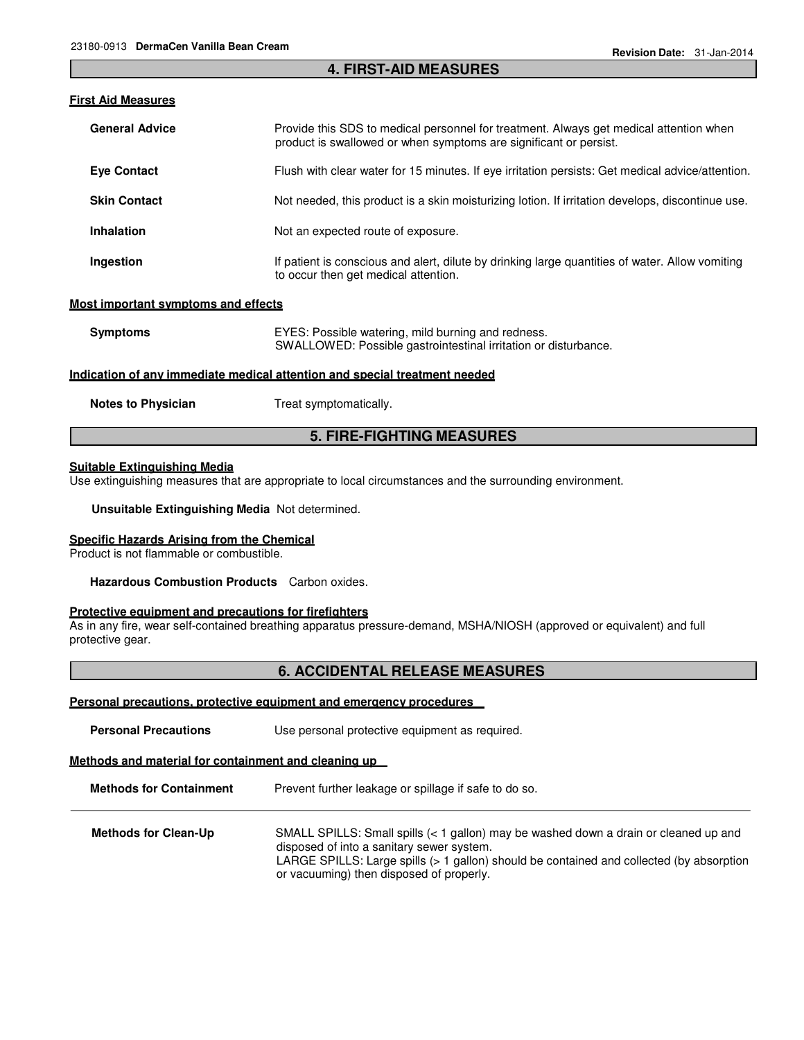#### **4. FIRST-AID MEASURES**

#### **First Aid Measures**

| <b>General Advice</b>                        | Provide this SDS to medical personnel for treatment. Always get medical attention when<br>product is swallowed or when symptoms are significant or persist. |  |
|----------------------------------------------|-------------------------------------------------------------------------------------------------------------------------------------------------------------|--|
| <b>Eye Contact</b>                           | Flush with clear water for 15 minutes. If eye irritation persists: Get medical advice/attention.                                                            |  |
| <b>Skin Contact</b>                          | Not needed, this product is a skin moisturizing lotion. If irritation develops, discontinue use.                                                            |  |
| <b>Inhalation</b>                            | Not an expected route of exposure.                                                                                                                          |  |
| Ingestion                                    | If patient is conscious and alert, dilute by drinking large quantities of water. Allow vomiting<br>to occur then get medical attention.                     |  |
| sat luan a shank ar sanahanaa an al-affa ata |                                                                                                                                                             |  |

#### **Most important symptoms and effects**

| <b>Symptoms</b>                                                            | EYES: Possible watering, mild burning and redness.<br>SWALLOWED: Possible gastrointestinal irritation or disturbance. |  |  |  |
|----------------------------------------------------------------------------|-----------------------------------------------------------------------------------------------------------------------|--|--|--|
| Indication of any immediate medical attention and special treatment needed |                                                                                                                       |  |  |  |
| <b>Notes to Physician</b>                                                  | Treat symptomatically.                                                                                                |  |  |  |

#### **5. FIRE-FIGHTING MEASURES**

#### **Suitable Extinguishing Media**

Use extinguishing measures that are appropriate to local circumstances and the surrounding environment.

**Unsuitable Extinguishing Media** Not determined.

#### **Specific Hazards Arising from the Chemical**

Product is not flammable or combustible.

**Hazardous Combustion Products** Carbon oxides.

#### **Protective equipment and precautions for firefighters**

As in any fire, wear self-contained breathing apparatus pressure-demand, MSHA/NIOSH (approved or equivalent) and full protective gear.

#### **6. ACCIDENTAL RELEASE MEASURES**

#### **Personal precautions, protective equipment and emergency procedures**

| <b>Personal Precautions</b> | Use personal protective equipment as required. |  |
|-----------------------------|------------------------------------------------|--|
|-----------------------------|------------------------------------------------|--|

#### **Methods and material for containment and cleaning up**

**Methods for Containment** Prevent further leakage or spillage if safe to do so.

| <b>Methods for Clean-Up</b> | SMALL SPILLS: Small spills $(1 gallon) may be washed down a drain or cleaned up and$     |
|-----------------------------|------------------------------------------------------------------------------------------|
|                             | disposed of into a sanitary sewer system.                                                |
|                             | LARGE SPILLS: Large spills (> 1 gallon) should be contained and collected (by absorption |
|                             | or vacuuming) then disposed of properly.                                                 |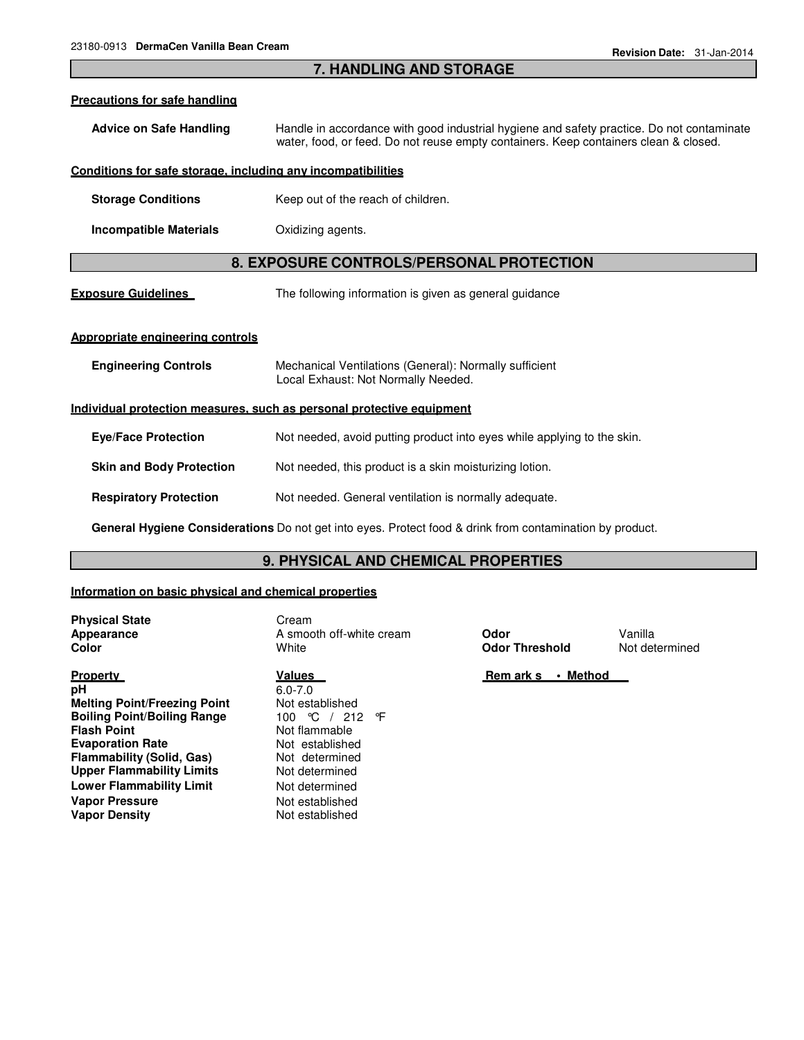#### **7. HANDLING AND STORAGE**

#### **Precautions for safe handling**

**Advice on Safe Handling** Handle in accordance with good industrial hygiene and safety practice. Do not contaminate water, food, or feed. Do not reuse empty containers. Keep containers clean & closed.

#### **Conditions for safe storage, including any incompatibilities**

- **Storage Conditions Keep out of the reach of children.**
- **Incompatible Materials** Oxidizing agents.

#### **8. EXPOSURE CONTROLS/PERSONAL PROTECTION**

**Exposure Guidelines** The following information is given as general guidance

#### **Appropriate engineering controls**

| <b>Engineering Controls</b>                                           | Mechanical Ventilations (General): Normally sufficient<br>Local Exhaust: Not Normally Needed. |  |  |
|-----------------------------------------------------------------------|-----------------------------------------------------------------------------------------------|--|--|
| Individual protection measures, such as personal protective equipment |                                                                                               |  |  |
| <b>Eve/Face Protection</b>                                            | Not needed, avoid putting product into eyes while applying to the skin.                       |  |  |
| <b>Skin and Body Protection</b>                                       | Not needed, this product is a skin moisturizing lotion.                                       |  |  |
| <b>Respiratory Protection</b>                                         | Not needed. General ventilation is normally adequate.                                         |  |  |
|                                                                       |                                                                                               |  |  |

**General Hygiene Considerations** Do not get into eyes. Protect food & drink from contamination by product.

#### **9. PHYSICAL AND CHEMICAL PROPERTIES**

#### **Information on basic physical and chemical properties**

**Physical State** Cream

**Property pH Melting Point/Freezing Point Boiling Point/Boiling Range Flash Point Evaporation Rate Flammability (Solid, Gas) Upper Flammability Limits Lower Flammability Limit** Not determined **Vapor Pressure Vapor Density**

#### **Values**  6.0-7.0

Not established 100 °C / 212 °F Not flammable Not established Not determined Not determined Not established Not established

**Appearance A smooth off-white cream <b>Odor** Vanilla **Color Color Color Color Color Color Not determined Odor Threshold** Not determined

 **Rem ark s • Method**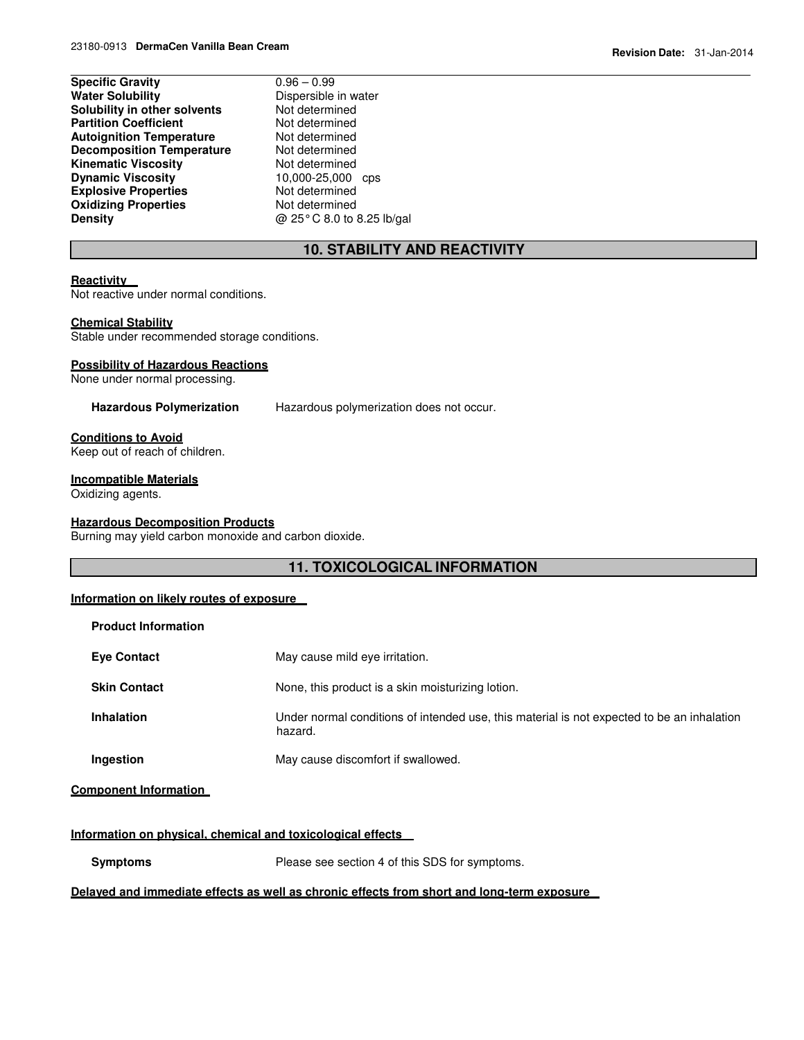| <b>Specific Gravity</b>          | $0.96 - 0.99$     |
|----------------------------------|-------------------|
| <b>Water Solubility</b>          | Dispersible in wa |
| Solubility in other solvents     | Not determined    |
| <b>Partition Coefficient</b>     | Not determined    |
| <b>Autoignition Temperature</b>  | Not determined    |
| <b>Decomposition Temperature</b> | Not determined    |
| <b>Kinematic Viscositv</b>       | Not determined    |
| <b>Dynamic Viscosity</b>         | 10,000-25,000     |
| <b>Explosive Properties</b>      | Not determined    |
| <b>Oxidizing Properties</b>      | Not determined    |
| Density                          | @ 25°C 8.0 to 8   |
|                                  |                   |

## le in water mined<br>mined mined  $\frac{5,000}{5}$  cps **Density** @ 25° C 8.0 to 8.25 lb/gal

### **10. STABILITY AND REACTIVITY**

#### **Reactivity**

Not reactive under normal conditions.

#### **Chemical Stability**

Stable under recommended storage conditions.

#### **Possibility of Hazardous Reactions**

None under normal processing.

**Hazardous Polymerization** Hazardous polymerization does not occur.

#### **Conditions to Avoid**

Keep out of reach of children.

#### **Incompatible Materials**

Oxidizing agents.

#### **Hazardous Decomposition Products**

Burning may yield carbon monoxide and carbon dioxide.

#### **11. TOXICOLOGICAL INFORMATION**

#### **Information on likely routes of exposure**

| <b>Product Information</b> |                                                                                                       |
|----------------------------|-------------------------------------------------------------------------------------------------------|
| <b>Eye Contact</b>         | May cause mild eye irritation.                                                                        |
| <b>Skin Contact</b>        | None, this product is a skin moisturizing lotion.                                                     |
| <b>Inhalation</b>          | Under normal conditions of intended use, this material is not expected to be an inhalation<br>hazard. |
| Ingestion                  | May cause discomfort if swallowed.                                                                    |

#### **Component Information**

#### **Information on physical, chemical and toxicological effects**

**Symptoms** Please see section 4 of this SDS for symptoms.

#### **Delayed and immediate effects as well as chronic effects from short and long-term exposure**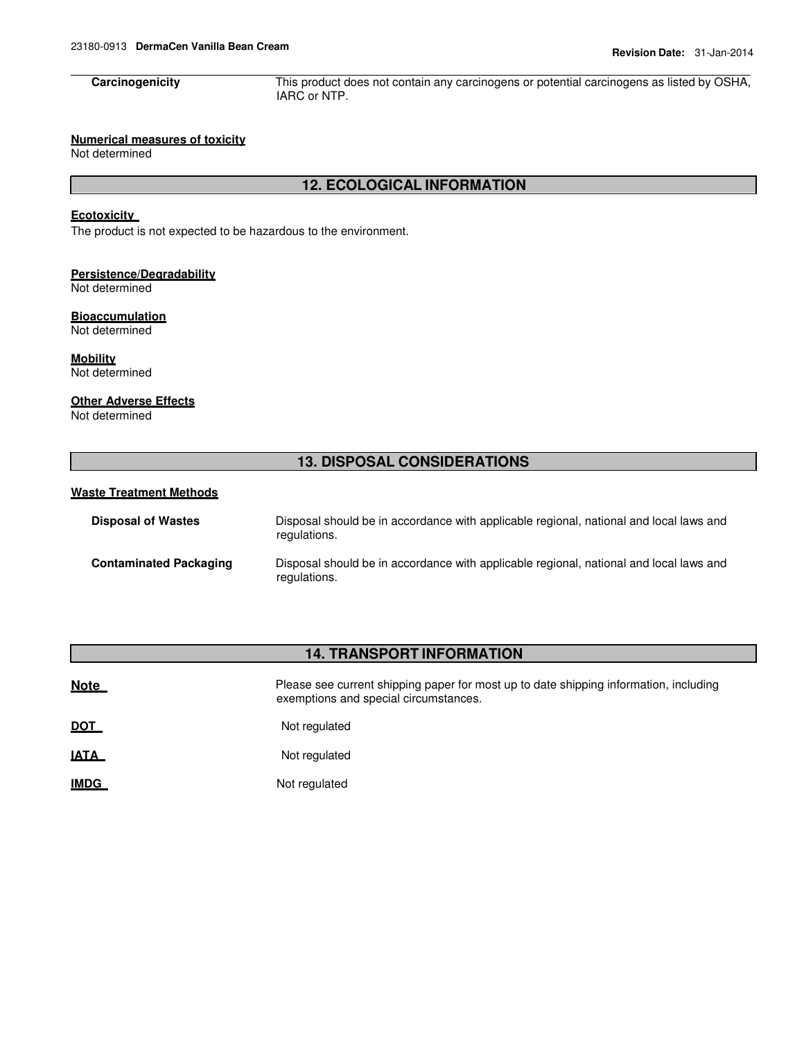**Carcinogenicity** This product does not contain any carcinogens or potential carcinogens as listed by OSHA, IARC or NTP.

#### **Numerical measures of toxicity**

Not determined

#### **12. ECOLOGICAL INFORMATION**

#### **Ecotoxicity**

The product is not expected to be hazardous to the environment.

#### **Persistence/Degradability** Not determined

**Bioaccumulation**

Not determined

**Mobility** Not determined

#### **Other Adverse Effects**

Not determined

#### **13. DISPOSAL CONSIDERATIONS**

#### **Waste Treatment Methods**

| <b>Disposal of Wastes</b>     | Disposal should be in accordance with applicable regional, national and local laws and<br>regulations. |
|-------------------------------|--------------------------------------------------------------------------------------------------------|
| <b>Contaminated Packaging</b> | Disposal should be in accordance with applicable regional, national and local laws and<br>regulations. |

#### **14. TRANSPORT INFORMATION**

| <b>Note</b> | Please see current shipping paper for most up to date shipping information, including<br>exemptions and special circumstances. |
|-------------|--------------------------------------------------------------------------------------------------------------------------------|
| <b>DOT</b>  | Not regulated                                                                                                                  |
| - - - -     |                                                                                                                                |

**IATA** Not regulated

**IMDG** Not regulated